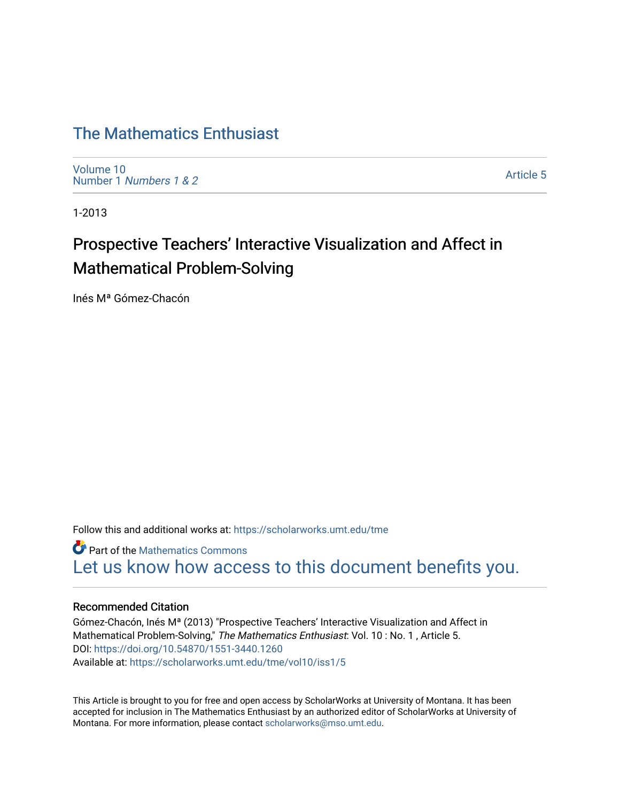# [The Mathematics Enthusiast](https://scholarworks.umt.edu/tme)

[Volume 10](https://scholarworks.umt.edu/tme/vol10) Number 1 [Numbers 1 & 2](https://scholarworks.umt.edu/tme/vol10/iss1)

[Article 5](https://scholarworks.umt.edu/tme/vol10/iss1/5) 

1-2013

# Prospective Teachers' Interactive Visualization and Affect in Mathematical Problem-Solving

Inés Mª Gómez-Chacón

Follow this and additional works at: [https://scholarworks.umt.edu/tme](https://scholarworks.umt.edu/tme?utm_source=scholarworks.umt.edu%2Ftme%2Fvol10%2Fiss1%2F5&utm_medium=PDF&utm_campaign=PDFCoverPages) 

**Part of the [Mathematics Commons](http://network.bepress.com/hgg/discipline/174?utm_source=scholarworks.umt.edu%2Ftme%2Fvol10%2Fiss1%2F5&utm_medium=PDF&utm_campaign=PDFCoverPages)** [Let us know how access to this document benefits you.](https://goo.gl/forms/s2rGfXOLzz71qgsB2) 

### Recommended Citation

Gómez-Chacón, Inés Mª (2013) "Prospective Teachers' Interactive Visualization and Affect in Mathematical Problem-Solving," The Mathematics Enthusiast: Vol. 10 : No. 1, Article 5. DOI:<https://doi.org/10.54870/1551-3440.1260> Available at: [https://scholarworks.umt.edu/tme/vol10/iss1/5](https://scholarworks.umt.edu/tme/vol10/iss1/5?utm_source=scholarworks.umt.edu%2Ftme%2Fvol10%2Fiss1%2F5&utm_medium=PDF&utm_campaign=PDFCoverPages) 

This Article is brought to you for free and open access by ScholarWorks at University of Montana. It has been accepted for inclusion in The Mathematics Enthusiast by an authorized editor of ScholarWorks at University of Montana. For more information, please contact [scholarworks@mso.umt.edu.](mailto:scholarworks@mso.umt.edu)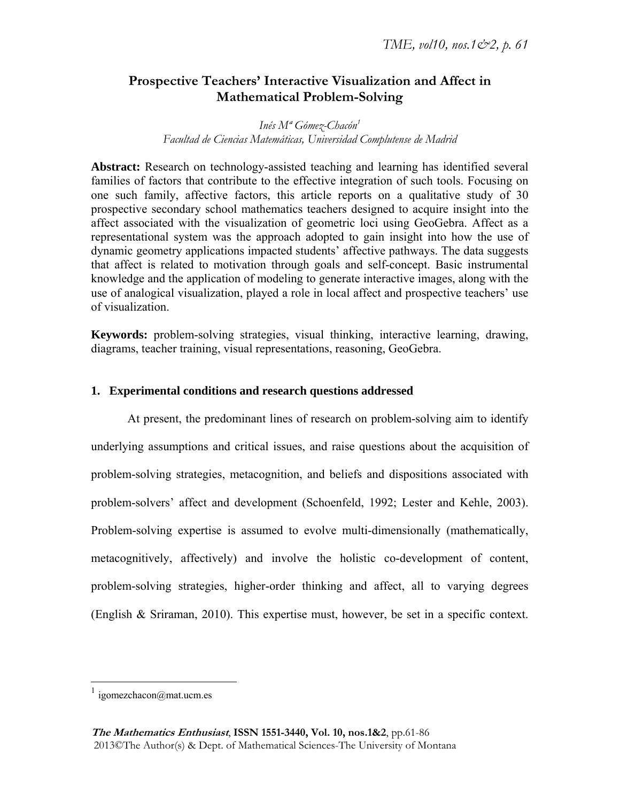# **Prospective Teachers' Interactive Visualization and Affect in Mathematical Problem-Solving**

*Inés Mª Gómez-Chacón1 Facultad de Ciencias Matemáticas, Universidad Complutense de Madrid* 

Abstract: Research on technology-assisted teaching and learning has identified several families of factors that contribute to the effective integration of such tools. Focusing on one such family, affective factors, this article reports on a qualitative study of 30 prospective secondary school mathematics teachers designed to acquire insight into the affect associated with the visualization of geometric loci using GeoGebra. Affect as a representational system was the approach adopted to gain insight into how the use of dynamic geometry applications impacted students' affective pathways. The data suggests that affect is related to motivation through goals and self-concept. Basic instrumental knowledge and the application of modeling to generate interactive images, along with the use of analogical visualization, played a role in local affect and prospective teachers' use of visualization.

**Keywords:** problem-solving strategies, visual thinking, interactive learning, drawing, diagrams, teacher training, visual representations, reasoning, GeoGebra.

## **1. Experimental conditions and research questions addressed**

At present, the predominant lines of research on problem-solving aim to identify underlying assumptions and critical issues, and raise questions about the acquisition of problem-solving strategies, metacognition, and beliefs and dispositions associated with problem-solvers' affect and development (Schoenfeld, 1992; Lester and Kehle, 2003). Problem-solving expertise is assumed to evolve multi-dimensionally (mathematically, metacognitively, affectively) and involve the holistic co-development of content, problem-solving strategies, higher-order thinking and affect, all to varying degrees (English & Sriraman, 2010). This expertise must, however, be set in a specific context.

 $\frac{1}{1}$  igomezchacon@mat.ucm.es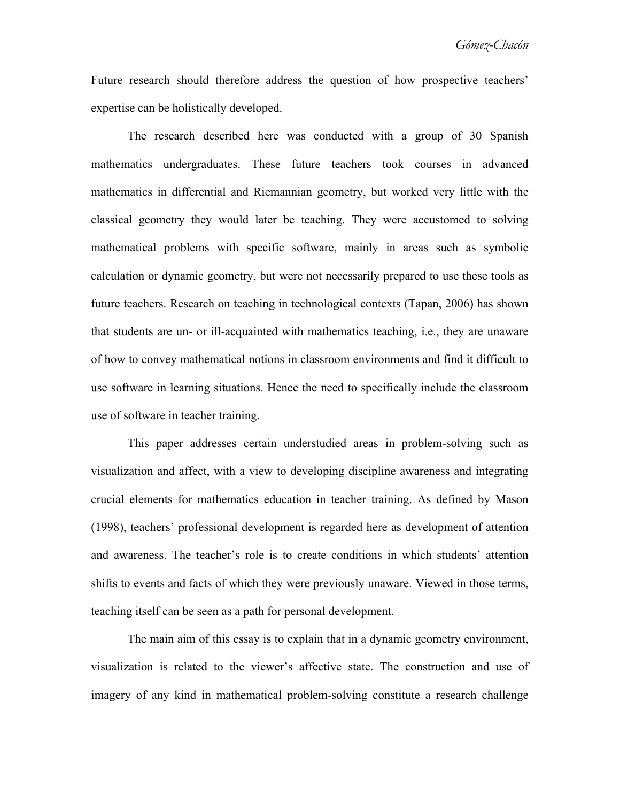Future research should therefore address the question of how prospective teachers' expertise can be holistically developed.

The research described here was conducted with a group of 30 Spanish mathematics undergraduates. These future teachers took courses in advanced mathematics in differential and Riemannian geometry, but worked very little with the classical geometry they would later be teaching. They were accustomed to solving mathematical problems with specific software, mainly in areas such as symbolic calculation or dynamic geometry, but were not necessarily prepared to use these tools as future teachers. Research on teaching in technological contexts (Tapan, 2006) has shown that students are un- or ill-acquainted with mathematics teaching, i.e., they are unaware of how to convey mathematical notions in classroom environments and find it difficult to use software in learning situations. Hence the need to specifically include the classroom use of software in teacher training.

This paper addresses certain understudied areas in problem-solving such as visualization and affect, with a view to developing discipline awareness and integrating crucial elements for mathematics education in teacher training. As defined by Mason (1998), teachers' professional development is regarded here as development of attention and awareness. The teacher's role is to create conditions in which students' attention shifts to events and facts of which they were previously unaware. Viewed in those terms, teaching itself can be seen as a path for personal development.

The main aim of this essay is to explain that in a dynamic geometry environment, visualization is related to the viewer's affective state. The construction and use of imagery of any kind in mathematical problem-solving constitute a research challenge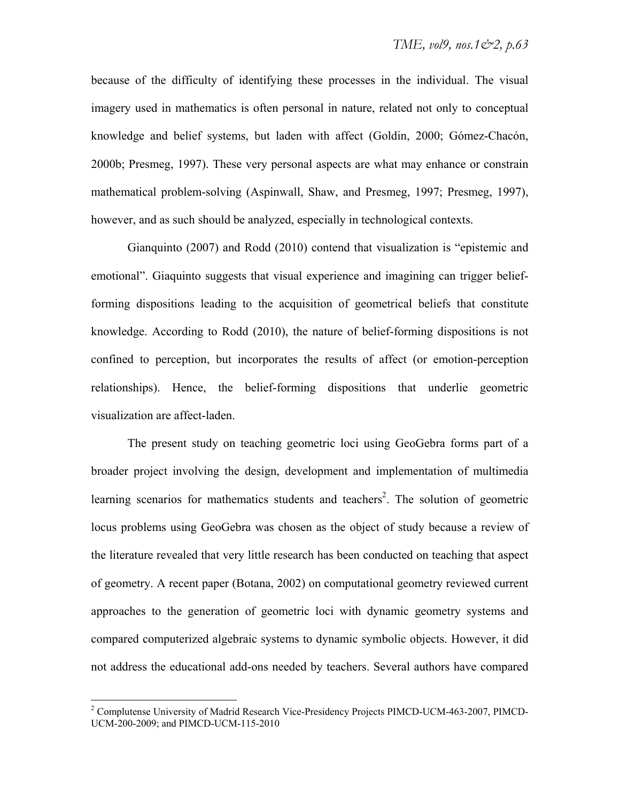because of the difficulty of identifying these processes in the individual. The visual imagery used in mathematics is often personal in nature, related not only to conceptual knowledge and belief systems, but laden with affect (Goldin, 2000; Gómez-Chacón, 2000b; Presmeg, 1997). These very personal aspects are what may enhance or constrain mathematical problem-solving (Aspinwall, Shaw, and Presmeg, 1997; Presmeg, 1997), however, and as such should be analyzed, especially in technological contexts.

Gianquinto (2007) and Rodd (2010) contend that visualization is "epistemic and emotional". Giaquinto suggests that visual experience and imagining can trigger beliefforming dispositions leading to the acquisition of geometrical beliefs that constitute knowledge. According to Rodd (2010), the nature of belief-forming dispositions is not confined to perception, but incorporates the results of affect (or emotion-perception relationships). Hence, the belief-forming dispositions that underlie geometric visualization are affect-laden.

The present study on teaching geometric loci using GeoGebra forms part of a broader project involving the design, development and implementation of multimedia learning scenarios for mathematics students and teachers<sup>2</sup>. The solution of geometric locus problems using GeoGebra was chosen as the object of study because a review of the literature revealed that very little research has been conducted on teaching that aspect of geometry. A recent paper (Botana, 2002) on computational geometry reviewed current approaches to the generation of geometric loci with dynamic geometry systems and compared computerized algebraic systems to dynamic symbolic objects. However, it did not address the educational add-ons needed by teachers. Several authors have compared

<sup>&</sup>lt;sup>2</sup> Complutense University of Madrid Research Vice-Presidency Projects PIMCD-UCM-463-2007, PIMCD-UCM-200-2009; and PIMCD-UCM-115-2010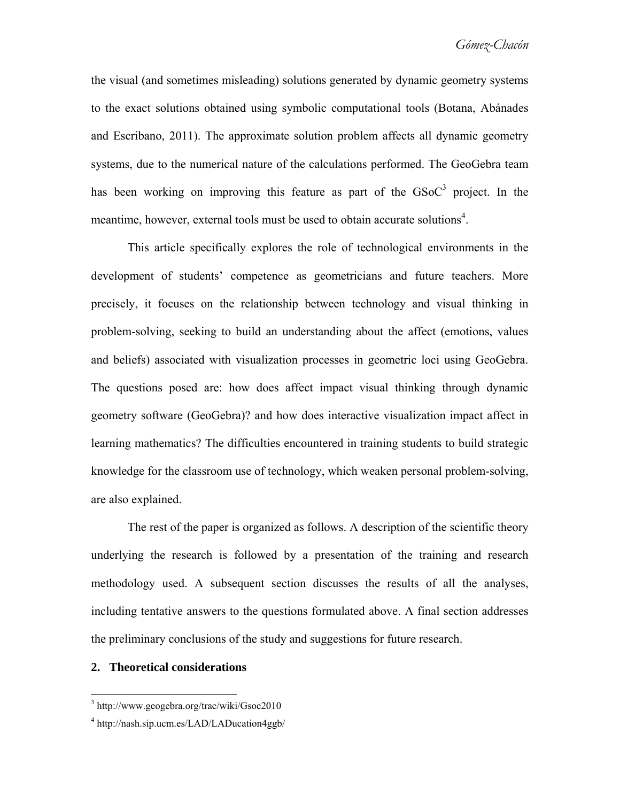the visual (and sometimes misleading) solutions generated by dynamic geometry systems to the exact solutions obtained using symbolic computational tools (Botana, Abánades and Escribano, 2011). The approximate solution problem affects all dynamic geometry systems, due to the numerical nature of the calculations performed. The GeoGebra team has been working on improving this feature as part of the  $GSoC<sup>3</sup>$  project. In the meantime, however, external tools must be used to obtain accurate solutions<sup>4</sup>.

This article specifically explores the role of technological environments in the development of students' competence as geometricians and future teachers. More precisely, it focuses on the relationship between technology and visual thinking in problem-solving, seeking to build an understanding about the affect (emotions, values and beliefs) associated with visualization processes in geometric loci using GeoGebra. The questions posed are: how does affect impact visual thinking through dynamic geometry software (GeoGebra)? and how does interactive visualization impact affect in learning mathematics? The difficulties encountered in training students to build strategic knowledge for the classroom use of technology, which weaken personal problem-solving, are also explained.

The rest of the paper is organized as follows. A description of the scientific theory underlying the research is followed by a presentation of the training and research methodology used. A subsequent section discusses the results of all the analyses, including tentative answers to the questions formulated above. A final section addresses the preliminary conclusions of the study and suggestions for future research.

#### **2. Theoretical considerations**

<sup>3</sup> http://www.geogebra.org/trac/wiki/Gsoc2010

<sup>4</sup> http://nash.sip.ucm.es/LAD/LADucation4ggb/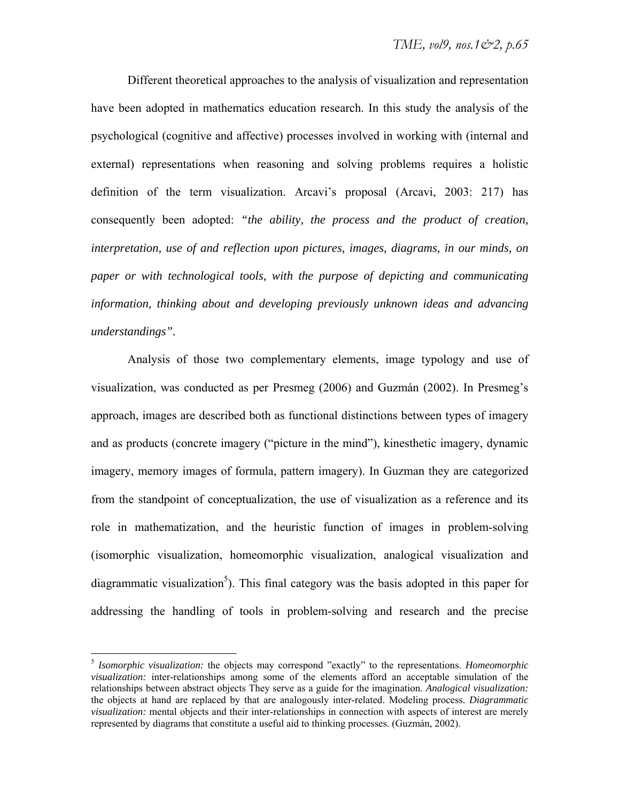Different theoretical approaches to the analysis of visualization and representation have been adopted in mathematics education research. In this study the analysis of the psychological (cognitive and affective) processes involved in working with (internal and external) representations when reasoning and solving problems requires a holistic definition of the term visualization. Arcavi's proposal (Arcavi, 2003: 217) has consequently been adopted: *"the ability, the process and the product of creation, interpretation, use of and reflection upon pictures, images, diagrams, in our minds, on paper or with technological tools, with the purpose of depicting and communicating information, thinking about and developing previously unknown ideas and advancing understandings".*

Analysis of those two complementary elements, image typology and use of visualization, was conducted as per Presmeg (2006) and Guzmán (2002). In Presmeg's approach, images are described both as functional distinctions between types of imagery and as products (concrete imagery ("picture in the mind"), kinesthetic imagery, dynamic imagery, memory images of formula, pattern imagery). In Guzman they are categorized from the standpoint of conceptualization, the use of visualization as a reference and its role in mathematization, and the heuristic function of images in problem-solving (isomorphic visualization, homeomorphic visualization, analogical visualization and diagrammatic visualization<sup>5</sup>). This final category was the basis adopted in this paper for addressing the handling of tools in problem-solving and research and the precise

<sup>5</sup> *Isomorphic visualization:* the objects may correspond "exactly" to the representations. *Homeomorphic visualization:* inter-relationships among some of the elements afford an acceptable simulation of the relationships between abstract objects They serve as a guide for the imagination. *Analogical visualization:* the objects at hand are replaced by that are analogously inter-related. Modeling process. *Diagrammatic visualization:* mental objects and their inter-relationships in connection with aspects of interest are merely represented by diagrams that constitute a useful aid to thinking processes. (Guzmán, 2002).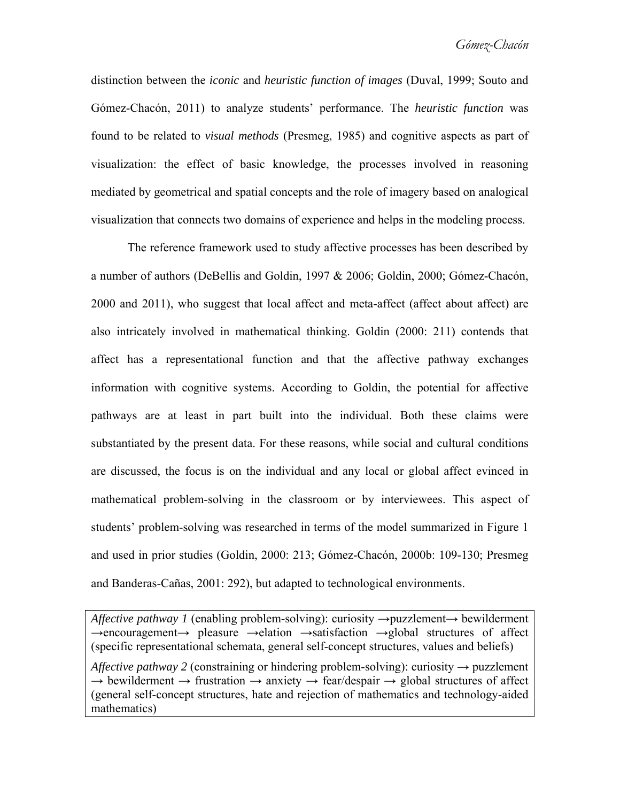distinction between the *iconic* and *heuristic function of images* (Duval, 1999; Souto and Gómez-Chacón, 2011) to analyze students' performance. The *heuristic function* was found to be related to *visual methods* (Presmeg, 1985) and cognitive aspects as part of visualization: the effect of basic knowledge, the processes involved in reasoning mediated by geometrical and spatial concepts and the role of imagery based on analogical visualization that connects two domains of experience and helps in the modeling process.

The reference framework used to study affective processes has been described by a number of authors (DeBellis and Goldin, 1997 & 2006; Goldin, 2000; Gómez-Chacón, 2000 and 2011), who suggest that local affect and meta-affect (affect about affect) are also intricately involved in mathematical thinking. Goldin (2000: 211) contends that affect has a representational function and that the affective pathway exchanges information with cognitive systems. According to Goldin, the potential for affective pathways are at least in part built into the individual. Both these claims were substantiated by the present data. For these reasons, while social and cultural conditions are discussed, the focus is on the individual and any local or global affect evinced in mathematical problem-solving in the classroom or by interviewees. This aspect of students' problem-solving was researched in terms of the model summarized in Figure 1 and used in prior studies (Goldin, 2000: 213; Gómez-Chacón, 2000b: 109-130; Presmeg and Banderas-Cañas, 2001: 292), but adapted to technological environments.

*Affective pathway 1* (enabling problem-solving): curiosity →puzzlement→ bewilderment →encouragement→ pleasure →elation →satisfaction →global structures of affect (specific representational schemata, general self-concept structures, values and beliefs) *Affective pathway 2* (constraining or hindering problem-solving): curiosity  $\rightarrow$  puzzlement  $\rightarrow$  bewilderment  $\rightarrow$  frustration  $\rightarrow$  anxiety  $\rightarrow$  fear/despair  $\rightarrow$  global structures of affect (general self-concept structures, hate and rejection of mathematics and technology-aided mathematics)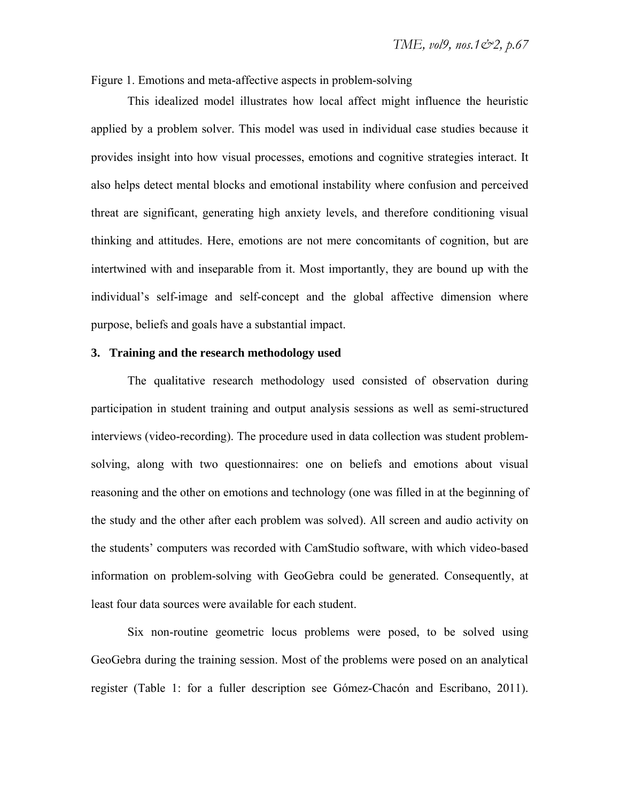Figure 1. Emotions and meta-affective aspects in problem-solving

This idealized model illustrates how local affect might influence the heuristic applied by a problem solver. This model was used in individual case studies because it provides insight into how visual processes, emotions and cognitive strategies interact. It also helps detect mental blocks and emotional instability where confusion and perceived threat are significant, generating high anxiety levels, and therefore conditioning visual thinking and attitudes. Here, emotions are not mere concomitants of cognition, but are intertwined with and inseparable from it. Most importantly, they are bound up with the individual's self-image and self-concept and the global affective dimension where purpose, beliefs and goals have a substantial impact.

## **3. Training and the research methodology used**

The qualitative research methodology used consisted of observation during participation in student training and output analysis sessions as well as semi-structured interviews (video-recording). The procedure used in data collection was student problemsolving, along with two questionnaires: one on beliefs and emotions about visual reasoning and the other on emotions and technology (one was filled in at the beginning of the study and the other after each problem was solved). All screen and audio activity on the students' computers was recorded with CamStudio software, with which video-based information on problem-solving with GeoGebra could be generated. Consequently, at least four data sources were available for each student.

Six non-routine geometric locus problems were posed, to be solved using GeoGebra during the training session. Most of the problems were posed on an analytical register (Table 1: for a fuller description see Gómez-Chacón and Escribano, 2011).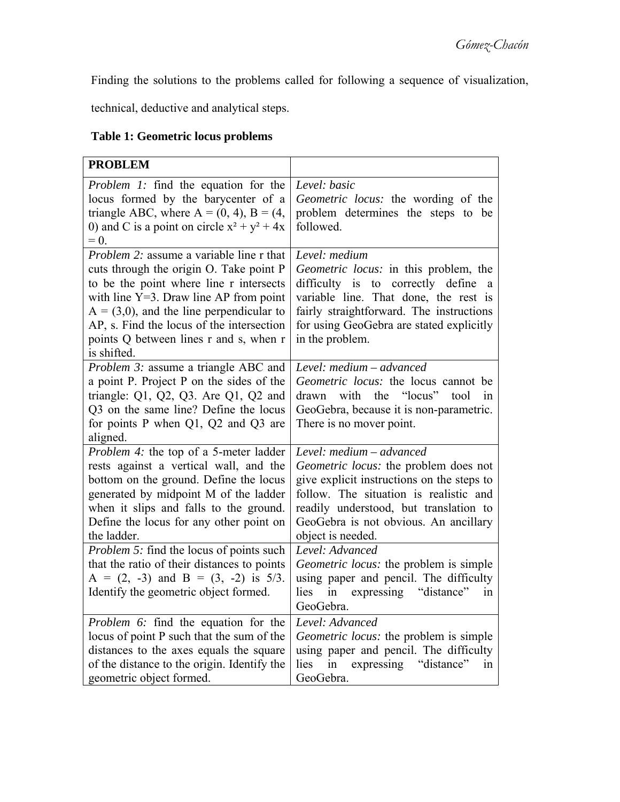Finding the solutions to the problems called for following a sequence of visualization,

technical, deductive and analytical steps.

# **Table 1: Geometric locus problems**

| <b>PROBLEM</b>                                                                                                                                                                                                                                                                                                                          |                                                                                                                                                                                                                                                                   |
|-----------------------------------------------------------------------------------------------------------------------------------------------------------------------------------------------------------------------------------------------------------------------------------------------------------------------------------------|-------------------------------------------------------------------------------------------------------------------------------------------------------------------------------------------------------------------------------------------------------------------|
| <i>Problem 1:</i> find the equation for the<br>locus formed by the barycenter of a<br>triangle ABC, where $A = (0, 4)$ , $B = (4, 4)$<br>0) and C is a point on circle $x^2 + y^2 + 4x$<br>$= 0.$                                                                                                                                       | Level: basic<br><i>Geometric locus:</i> the wording of the<br>problem determines the steps to be<br>followed.                                                                                                                                                     |
| <i>Problem 2:</i> assume a variable line r that<br>cuts through the origin O. Take point P<br>to be the point where line r intersects<br>with line $Y=3$ . Draw line AP from point<br>$A = (3,0)$ , and the line perpendicular to<br>AP, s. Find the locus of the intersection<br>points Q between lines r and s, when r<br>is shifted. | Level: medium<br><i>Geometric locus:</i> in this problem, the<br>difficulty is to correctly define<br>a a<br>variable line. That done, the rest is<br>fairly straightforward. The instructions<br>for using GeoGebra are stated explicitly<br>in the problem.     |
| <i>Problem 3:</i> assume a triangle ABC and<br>a point P. Project P on the sides of the<br>triangle: $Q1$ , $Q2$ , $Q3$ . Are $Q1$ , $Q2$ and<br>Q3 on the same line? Define the locus<br>for points P when $Q1$ , $Q2$ and $Q3$ are<br>aligned.                                                                                        | Level: medium - advanced<br>Geometric locus: the locus cannot be<br>drawn with the "locus" tool<br>in<br>GeoGebra, because it is non-parametric.<br>There is no mover point.                                                                                      |
| <i>Problem 4:</i> the top of a 5-meter ladder<br>rests against a vertical wall, and the<br>bottom on the ground. Define the locus<br>generated by midpoint M of the ladder<br>when it slips and falls to the ground.<br>Define the locus for any other point on<br>the ladder.                                                          | Level: medium – advanced<br>Geometric locus: the problem does not<br>give explicit instructions on the steps to<br>follow. The situation is realistic and<br>readily understood, but translation to<br>GeoGebra is not obvious. An ancillary<br>object is needed. |
| <i>Problem 5:</i> find the locus of points such<br>that the ratio of their distances to points<br>$A = (2, -3)$ and $B = (3, -2)$ is 5/3.<br>Identify the geometric object formed.                                                                                                                                                      | Level: Advanced<br>Geometric locus: the problem is simple<br>using paper and pencil. The difficulty<br>in expressing "distance"<br>lies<br>1n<br>GeoGebra.                                                                                                        |
| <i>Problem 6:</i> find the equation for the<br>locus of point P such that the sum of the<br>distances to the axes equals the square<br>of the distance to the origin. Identify the<br>geometric object formed.                                                                                                                          | Level: Advanced<br>Geometric locus: the problem is simple<br>using paper and pencil. The difficulty<br>expressing<br>"distance"<br>in<br>lies<br>1n<br>GeoGebra.                                                                                                  |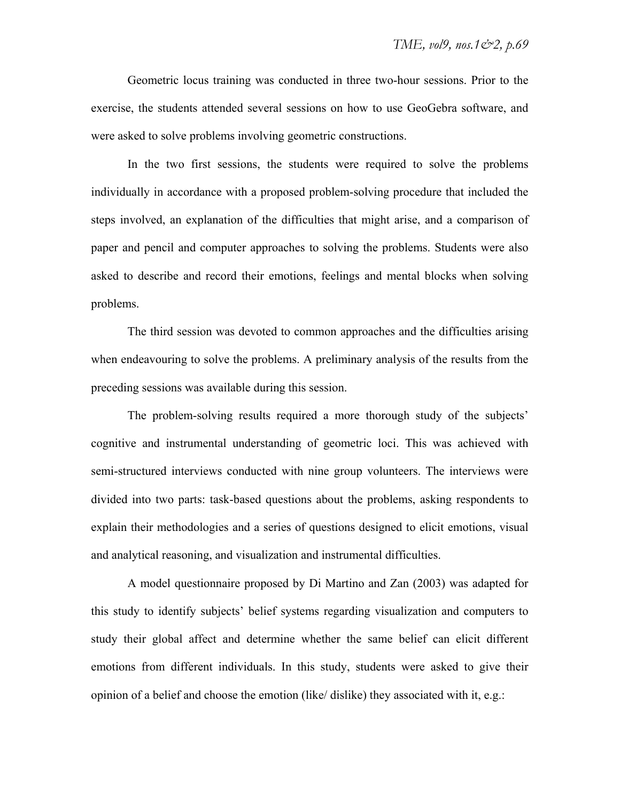Geometric locus training was conducted in three two-hour sessions. Prior to the exercise, the students attended several sessions on how to use GeoGebra software, and were asked to solve problems involving geometric constructions.

In the two first sessions, the students were required to solve the problems individually in accordance with a proposed problem-solving procedure that included the steps involved, an explanation of the difficulties that might arise, and a comparison of paper and pencil and computer approaches to solving the problems. Students were also asked to describe and record their emotions, feelings and mental blocks when solving problems.

The third session was devoted to common approaches and the difficulties arising when endeavouring to solve the problems. A preliminary analysis of the results from the preceding sessions was available during this session.

The problem-solving results required a more thorough study of the subjects' cognitive and instrumental understanding of geometric loci. This was achieved with semi-structured interviews conducted with nine group volunteers. The interviews were divided into two parts: task-based questions about the problems, asking respondents to explain their methodologies and a series of questions designed to elicit emotions, visual and analytical reasoning, and visualization and instrumental difficulties.

A model questionnaire proposed by Di Martino and Zan (2003) was adapted for this study to identify subjects' belief systems regarding visualization and computers to study their global affect and determine whether the same belief can elicit different emotions from different individuals. In this study, students were asked to give their opinion of a belief and choose the emotion (like/ dislike) they associated with it, e.g.: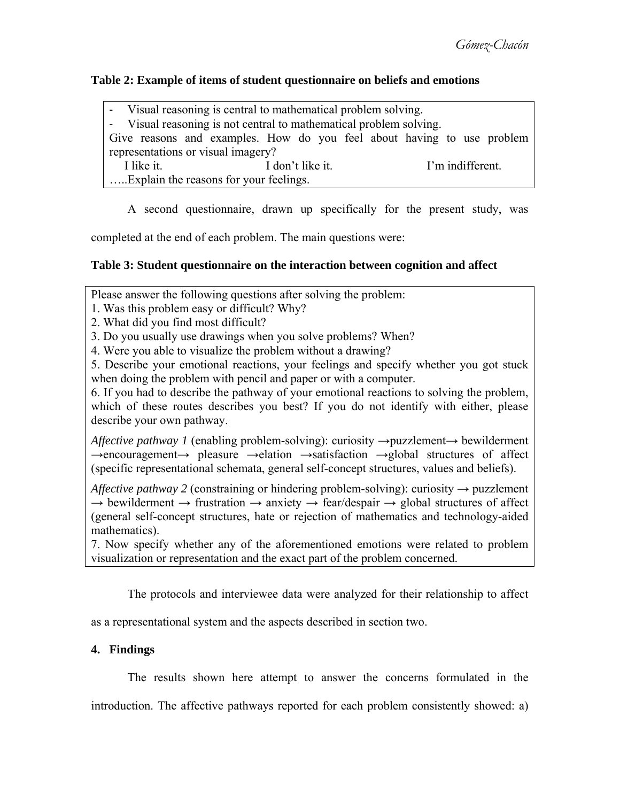## **Table 2: Example of items of student questionnaire on beliefs and emotions**

| - Visual reasoning is central to mathematical problem solving.         |                                      |  |  |
|------------------------------------------------------------------------|--------------------------------------|--|--|
| - Visual reasoning is not central to mathematical problem solving.     |                                      |  |  |
| Give reasons and examples. How do you feel about having to use problem |                                      |  |  |
| representations or visual imagery?                                     |                                      |  |  |
| I like it.                                                             | I'm indifferent.<br>I don't like it. |  |  |
| Explain the reasons for your feelings.                                 |                                      |  |  |
|                                                                        |                                      |  |  |

A second questionnaire, drawn up specifically for the present study, was

completed at the end of each problem. The main questions were:

# **Table 3: Student questionnaire on the interaction between cognition and affect**

Please answer the following questions after solving the problem:

1. Was this problem easy or difficult? Why?

2. What did you find most difficult?

3. Do you usually use drawings when you solve problems? When?

4. Were you able to visualize the problem without a drawing?

5. Describe your emotional reactions, your feelings and specify whether you got stuck when doing the problem with pencil and paper or with a computer.

6. If you had to describe the pathway of your emotional reactions to solving the problem, which of these routes describes you best? If you do not identify with either, please describe your own pathway.

*Affective pathway 1* (enabling problem-solving): curiosity →puzzlement→ bewilderment →encouragement→ pleasure →elation →satisfaction →global structures of affect (specific representational schemata, general self-concept structures, values and beliefs).

*Affective pathway 2* (constraining or hindering problem-solving): curiosity  $\rightarrow$  puzzlement  $\rightarrow$  bewilderment  $\rightarrow$  frustration  $\rightarrow$  anxiety  $\rightarrow$  fear/despair  $\rightarrow$  global structures of affect (general self-concept structures, hate or rejection of mathematics and technology-aided mathematics).

7. Now specify whether any of the aforementioned emotions were related to problem visualization or representation and the exact part of the problem concerned.

The protocols and interviewee data were analyzed for their relationship to affect

as a representational system and the aspects described in section two.

# **4. Findings**

The results shown here attempt to answer the concerns formulated in the

introduction. The affective pathways reported for each problem consistently showed: a)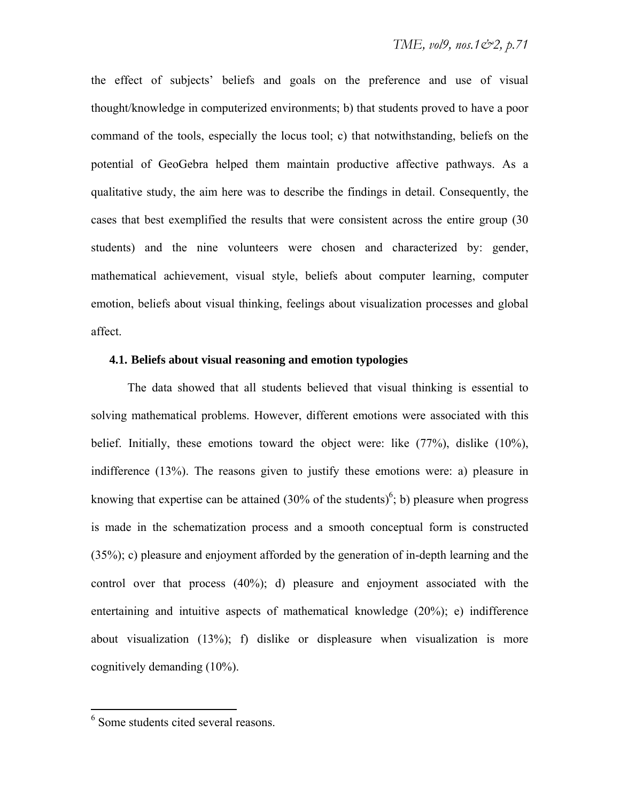the effect of subjects' beliefs and goals on the preference and use of visual thought/knowledge in computerized environments; b) that students proved to have a poor command of the tools, especially the locus tool; c) that notwithstanding, beliefs on the potential of GeoGebra helped them maintain productive affective pathways. As a qualitative study, the aim here was to describe the findings in detail. Consequently, the cases that best exemplified the results that were consistent across the entire group (30 students) and the nine volunteers were chosen and characterized by: gender, mathematical achievement, visual style, beliefs about computer learning, computer emotion, beliefs about visual thinking, feelings about visualization processes and global affect.

## **4.1. Beliefs about visual reasoning and emotion typologies**

The data showed that all students believed that visual thinking is essential to solving mathematical problems. However, different emotions were associated with this belief. Initially, these emotions toward the object were: like (77%), dislike (10%), indifference (13%). The reasons given to justify these emotions were: a) pleasure in knowing that expertise can be attained  $(30\% \text{ of the students})^6$ ; b) pleasure when progress is made in the schematization process and a smooth conceptual form is constructed (35%); c) pleasure and enjoyment afforded by the generation of in-depth learning and the control over that process (40%); d) pleasure and enjoyment associated with the entertaining and intuitive aspects of mathematical knowledge (20%); e) indifference about visualization (13%); f) dislike or displeasure when visualization is more cognitively demanding (10%).

<sup>6</sup> Some students cited several reasons.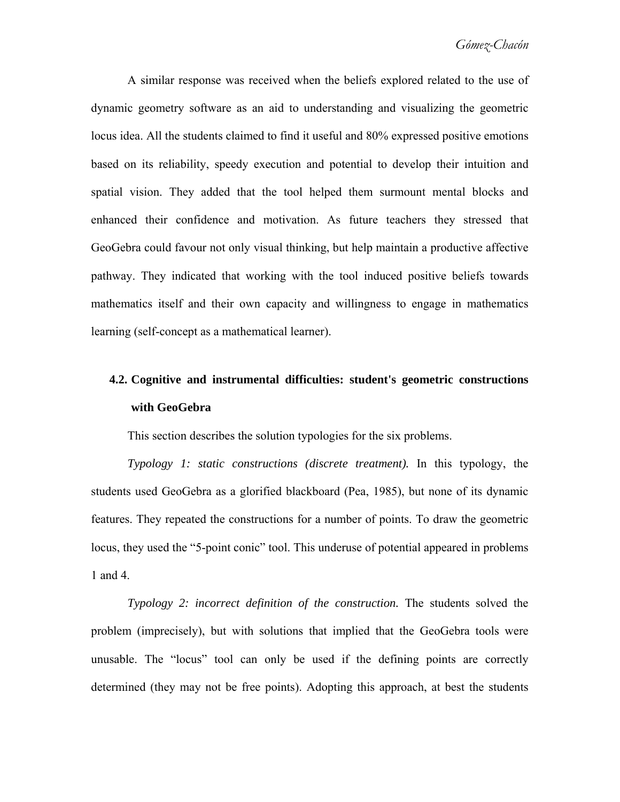A similar response was received when the beliefs explored related to the use of dynamic geometry software as an aid to understanding and visualizing the geometric locus idea. All the students claimed to find it useful and 80% expressed positive emotions based on its reliability, speedy execution and potential to develop their intuition and spatial vision. They added that the tool helped them surmount mental blocks and enhanced their confidence and motivation. As future teachers they stressed that GeoGebra could favour not only visual thinking, but help maintain a productive affective pathway. They indicated that working with the tool induced positive beliefs towards mathematics itself and their own capacity and willingness to engage in mathematics learning (self-concept as a mathematical learner).

# **4.2. Cognitive and instrumental difficulties: student's geometric constructions with GeoGebra**

This section describes the solution typologies for the six problems.

*Typology 1: static constructions (discrete treatment).* In this typology, the students used GeoGebra as a glorified blackboard (Pea, 1985), but none of its dynamic features. They repeated the constructions for a number of points. To draw the geometric locus, they used the "5-point conic" tool. This underuse of potential appeared in problems 1 and 4.

*Typology 2: incorrect definition of the construction.* The students solved the problem (imprecisely), but with solutions that implied that the GeoGebra tools were unusable. The "locus" tool can only be used if the defining points are correctly determined (they may not be free points). Adopting this approach, at best the students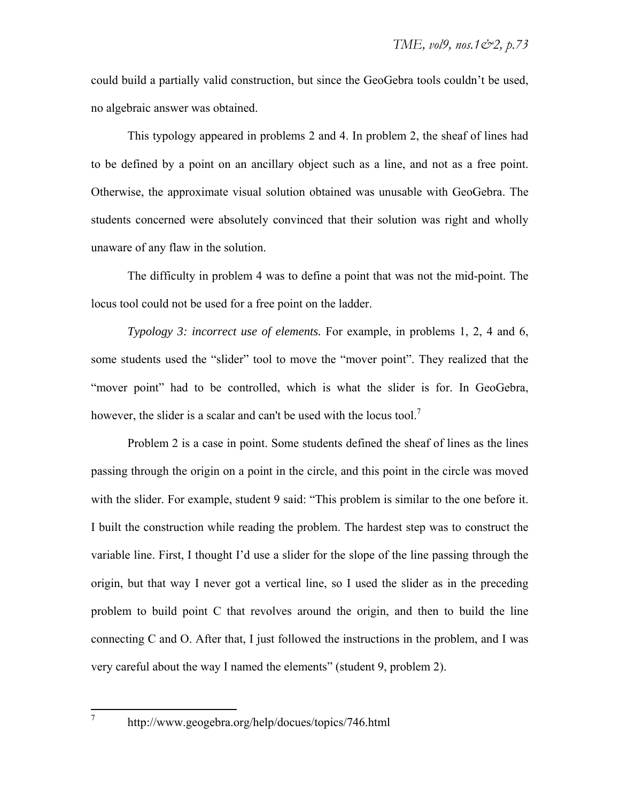could build a partially valid construction, but since the GeoGebra tools couldn't be used, no algebraic answer was obtained.

This typology appeared in problems 2 and 4. In problem 2, the sheaf of lines had to be defined by a point on an ancillary object such as a line, and not as a free point. Otherwise, the approximate visual solution obtained was unusable with GeoGebra. The students concerned were absolutely convinced that their solution was right and wholly unaware of any flaw in the solution.

The difficulty in problem 4 was to define a point that was not the mid-point. The locus tool could not be used for a free point on the ladder.

*Typology 3: incorrect use of elements.* For example, in problems 1, 2, 4 and 6, some students used the "slider" tool to move the "mover point". They realized that the "mover point" had to be controlled, which is what the slider is for. In GeoGebra, however, the slider is a scalar and can't be used with the locus tool.<sup>7</sup>

Problem 2 is a case in point. Some students defined the sheaf of lines as the lines passing through the origin on a point in the circle, and this point in the circle was moved with the slider. For example, student 9 said: "This problem is similar to the one before it. I built the construction while reading the problem. The hardest step was to construct the variable line. First, I thought I'd use a slider for the slope of the line passing through the origin, but that way I never got a vertical line, so I used the slider as in the preceding problem to build point C that revolves around the origin, and then to build the line connecting C and O. After that, I just followed the instructions in the problem, and I was very careful about the way I named the elements" (student 9, problem 2).

7

http://www.geogebra.org/help/docues/topics/746.html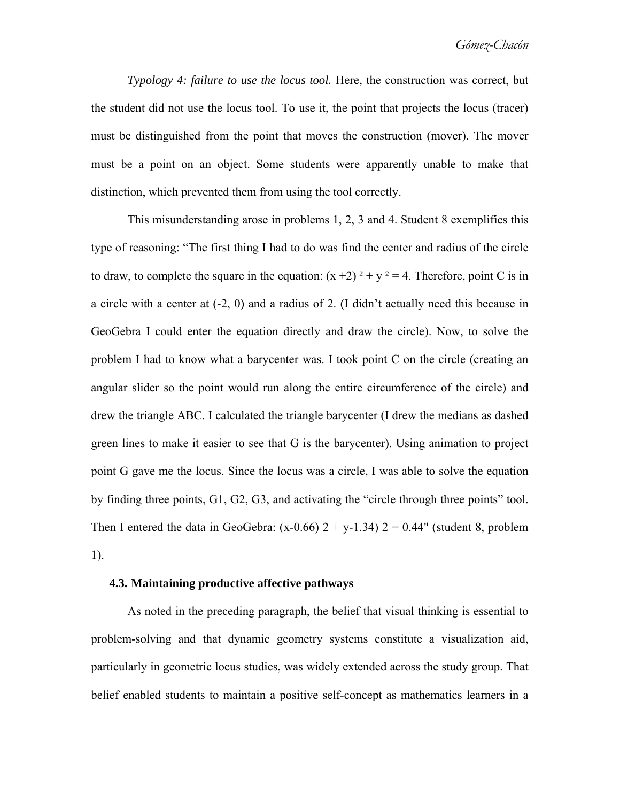*Typology 4: failure to use the locus tool.* Here, the construction was correct, but the student did not use the locus tool. To use it, the point that projects the locus (tracer) must be distinguished from the point that moves the construction (mover). The mover must be a point on an object. Some students were apparently unable to make that distinction, which prevented them from using the tool correctly.

This misunderstanding arose in problems 1, 2, 3 and 4. Student 8 exemplifies this type of reasoning: "The first thing I had to do was find the center and radius of the circle to draw, to complete the square in the equation:  $(x+2)^2 + y^2 = 4$ . Therefore, point C is in a circle with a center at (-2, 0) and a radius of 2. (I didn't actually need this because in GeoGebra I could enter the equation directly and draw the circle). Now, to solve the problem I had to know what a barycenter was. I took point C on the circle (creating an angular slider so the point would run along the entire circumference of the circle) and drew the triangle ABC. I calculated the triangle barycenter (I drew the medians as dashed green lines to make it easier to see that G is the barycenter). Using animation to project point G gave me the locus. Since the locus was a circle, I was able to solve the equation by finding three points, G1, G2, G3, and activating the "circle through three points" tool. Then I entered the data in GeoGebra:  $(x-0.66)$  2 + y-1.34) 2 = 0.44" (student 8, problem 1).

#### **4.3. Maintaining productive affective pathways**

As noted in the preceding paragraph, the belief that visual thinking is essential to problem-solving and that dynamic geometry systems constitute a visualization aid, particularly in geometric locus studies, was widely extended across the study group. That belief enabled students to maintain a positive self-concept as mathematics learners in a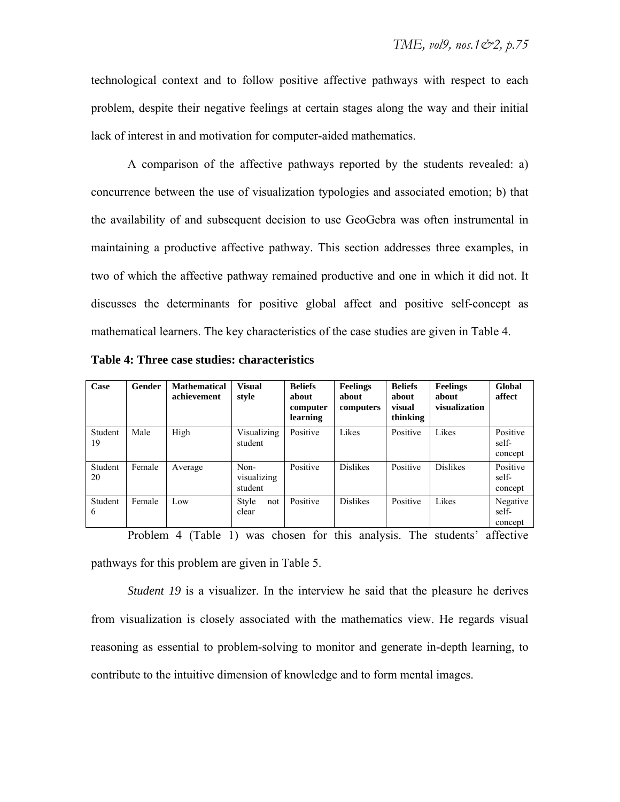technological context and to follow positive affective pathways with respect to each problem, despite their negative feelings at certain stages along the way and their initial lack of interest in and motivation for computer-aided mathematics.

A comparison of the affective pathways reported by the students revealed: a) concurrence between the use of visualization typologies and associated emotion; b) that the availability of and subsequent decision to use GeoGebra was often instrumental in maintaining a productive affective pathway. This section addresses three examples, in two of which the affective pathway remained productive and one in which it did not. It discusses the determinants for positive global affect and positive self-concept as mathematical learners. The key characteristics of the case studies are given in Table 4.

| Case          | Gender | <b>Mathematical</b><br>achievement | <b>Visual</b><br>style         | <b>Beliefs</b><br>about<br>computer<br>learning | <b>Feelings</b><br>about<br>computers | <b>Beliefs</b><br>about<br>visual<br>thinking | <b>Feelings</b><br>about<br>visualization | Global<br>affect             |
|---------------|--------|------------------------------------|--------------------------------|-------------------------------------------------|---------------------------------------|-----------------------------------------------|-------------------------------------------|------------------------------|
| Student<br>19 | Male   | High                               | Visualizing<br>student         | Positive                                        | Likes                                 | Positive                                      | Likes                                     | Positive<br>self-<br>concept |
| Student<br>20 | Female | Average                            | Non-<br>visualizing<br>student | Positive                                        | <b>Dislikes</b>                       | Positive                                      | <b>Dislikes</b>                           | Positive<br>self-<br>concept |
| Student<br>6  | Female | Low                                | Style<br>not<br>clear          | Positive                                        | <b>Dislikes</b>                       | Positive                                      | Likes                                     | Negative<br>self-<br>concept |

**Table 4: Three case studies: characteristics** 

Problem 4 (Table 1) was chosen for this analysis. The students' affective pathways for this problem are given in Table 5.

*Student 19* is a visualizer. In the interview he said that the pleasure he derives from visualization is closely associated with the mathematics view. He regards visual reasoning as essential to problem-solving to monitor and generate in-depth learning, to contribute to the intuitive dimension of knowledge and to form mental images.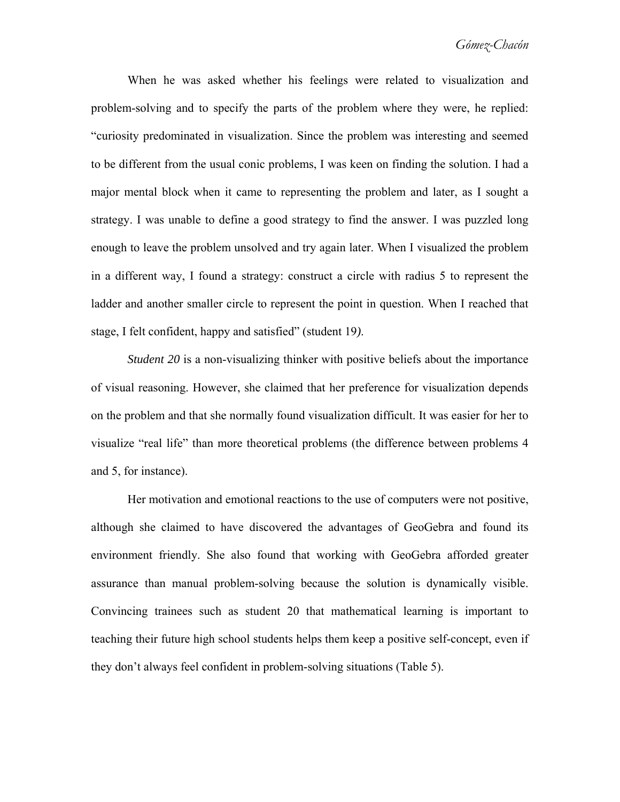When he was asked whether his feelings were related to visualization and problem-solving and to specify the parts of the problem where they were, he replied: "curiosity predominated in visualization. Since the problem was interesting and seemed to be different from the usual conic problems, I was keen on finding the solution. I had a major mental block when it came to representing the problem and later, as I sought a strategy. I was unable to define a good strategy to find the answer. I was puzzled long enough to leave the problem unsolved and try again later. When I visualized the problem in a different way, I found a strategy: construct a circle with radius 5 to represent the ladder and another smaller circle to represent the point in question. When I reached that stage, I felt confident, happy and satisfied" (student 19*)*.

*Student 20* is a non-visualizing thinker with positive beliefs about the importance of visual reasoning. However, she claimed that her preference for visualization depends on the problem and that she normally found visualization difficult. It was easier for her to visualize "real life" than more theoretical problems (the difference between problems 4 and 5, for instance).

Her motivation and emotional reactions to the use of computers were not positive, although she claimed to have discovered the advantages of GeoGebra and found its environment friendly. She also found that working with GeoGebra afforded greater assurance than manual problem-solving because the solution is dynamically visible. Convincing trainees such as student 20 that mathematical learning is important to teaching their future high school students helps them keep a positive self-concept, even if they don't always feel confident in problem-solving situations (Table 5).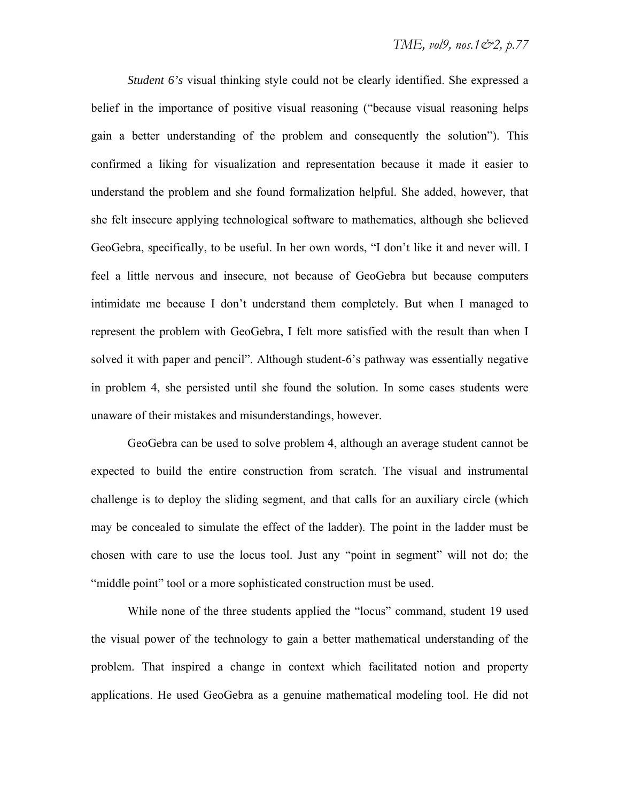*Student 6's* visual thinking style could not be clearly identified. She expressed a belief in the importance of positive visual reasoning ("because visual reasoning helps gain a better understanding of the problem and consequently the solution"). This confirmed a liking for visualization and representation because it made it easier to understand the problem and she found formalization helpful. She added, however, that she felt insecure applying technological software to mathematics, although she believed GeoGebra, specifically, to be useful. In her own words, "I don't like it and never will. I feel a little nervous and insecure, not because of GeoGebra but because computers intimidate me because I don't understand them completely. But when I managed to represent the problem with GeoGebra, I felt more satisfied with the result than when I solved it with paper and pencil". Although student-6's pathway was essentially negative in problem 4, she persisted until she found the solution. In some cases students were unaware of their mistakes and misunderstandings, however.

GeoGebra can be used to solve problem 4, although an average student cannot be expected to build the entire construction from scratch. The visual and instrumental challenge is to deploy the sliding segment, and that calls for an auxiliary circle (which may be concealed to simulate the effect of the ladder). The point in the ladder must be chosen with care to use the locus tool. Just any "point in segment" will not do; the "middle point" tool or a more sophisticated construction must be used.

While none of the three students applied the "locus" command, student 19 used the visual power of the technology to gain a better mathematical understanding of the problem. That inspired a change in context which facilitated notion and property applications. He used GeoGebra as a genuine mathematical modeling tool. He did not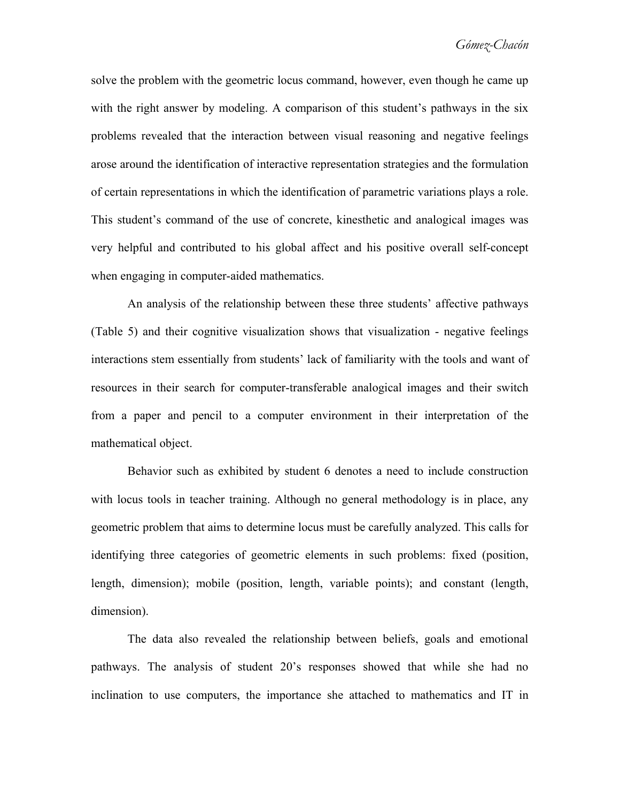solve the problem with the geometric locus command, however, even though he came up with the right answer by modeling. A comparison of this student's pathways in the six problems revealed that the interaction between visual reasoning and negative feelings arose around the identification of interactive representation strategies and the formulation of certain representations in which the identification of parametric variations plays a role. This student's command of the use of concrete, kinesthetic and analogical images was very helpful and contributed to his global affect and his positive overall self-concept when engaging in computer-aided mathematics.

An analysis of the relationship between these three students' affective pathways (Table 5) and their cognitive visualization shows that visualization - negative feelings interactions stem essentially from students' lack of familiarity with the tools and want of resources in their search for computer-transferable analogical images and their switch from a paper and pencil to a computer environment in their interpretation of the mathematical object.

Behavior such as exhibited by student 6 denotes a need to include construction with locus tools in teacher training. Although no general methodology is in place, any geometric problem that aims to determine locus must be carefully analyzed. This calls for identifying three categories of geometric elements in such problems: fixed (position, length, dimension); mobile (position, length, variable points); and constant (length, dimension).

The data also revealed the relationship between beliefs, goals and emotional pathways. The analysis of student 20's responses showed that while she had no inclination to use computers, the importance she attached to mathematics and IT in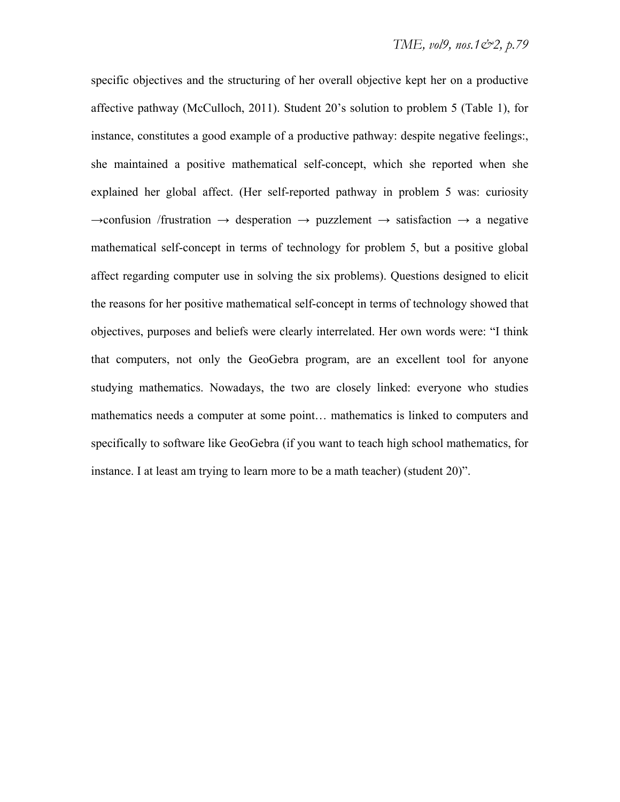specific objectives and the structuring of her overall objective kept her on a productive affective pathway (McCulloch, 2011). Student 20's solution to problem 5 (Table 1), for instance, constitutes a good example of a productive pathway: despite negative feelings:, she maintained a positive mathematical self-concept, which she reported when she explained her global affect. (Her self-reported pathway in problem 5 was: curiosity  $\rightarrow$ confusion /frustration  $\rightarrow$  desperation  $\rightarrow$  puzzlement  $\rightarrow$  satisfaction  $\rightarrow$  a negative mathematical self-concept in terms of technology for problem 5, but a positive global affect regarding computer use in solving the six problems). Questions designed to elicit the reasons for her positive mathematical self-concept in terms of technology showed that objectives, purposes and beliefs were clearly interrelated. Her own words were: "I think that computers, not only the GeoGebra program, are an excellent tool for anyone studying mathematics. Nowadays, the two are closely linked: everyone who studies mathematics needs a computer at some point… mathematics is linked to computers and specifically to software like GeoGebra (if you want to teach high school mathematics, for instance. I at least am trying to learn more to be a math teacher) (student 20)".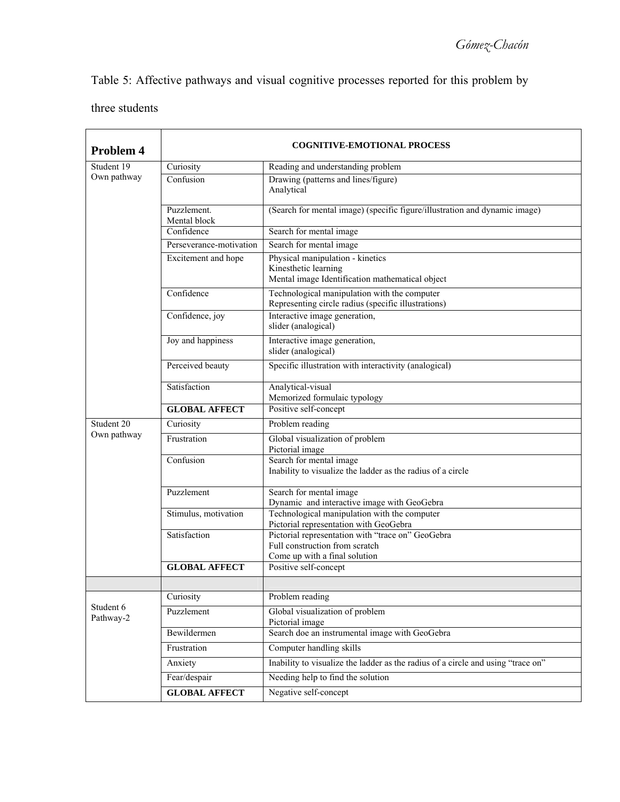Table 5: Affective pathways and visual cognitive processes reported for this problem by

three students

| Problem 4              | <b>COGNITIVE-EMOTIONAL PROCESS</b> |                                                                                                                                 |  |  |  |
|------------------------|------------------------------------|---------------------------------------------------------------------------------------------------------------------------------|--|--|--|
| Student 19             | Curiosity                          | Reading and understanding problem                                                                                               |  |  |  |
| Own pathway            | Confusion                          | Drawing (patterns and lines/figure)<br>Analytical<br>(Search for mental image) (specific figure/illustration and dynamic image) |  |  |  |
|                        | Puzzlement.<br>Mental block        |                                                                                                                                 |  |  |  |
|                        | Confidence                         | Search for mental image                                                                                                         |  |  |  |
|                        | Perseverance-motivation            | Search for mental image                                                                                                         |  |  |  |
|                        | Excitement and hope                | Physical manipulation - kinetics<br>Kinesthetic learning<br>Mental image Identification mathematical object                     |  |  |  |
|                        | Confidence                         | Technological manipulation with the computer<br>Representing circle radius (specific illustrations)                             |  |  |  |
|                        | Confidence, joy                    | Interactive image generation,<br>slider (analogical)                                                                            |  |  |  |
|                        | Joy and happiness                  | Interactive image generation,<br>slider (analogical)                                                                            |  |  |  |
|                        | Perceived beauty                   | Specific illustration with interactivity (analogical)                                                                           |  |  |  |
|                        | Satisfaction                       | Analytical-visual<br>Memorized formulaic typology                                                                               |  |  |  |
|                        | <b>GLOBAL AFFECT</b>               | Positive self-concept                                                                                                           |  |  |  |
| Student 20             | Curiosity                          | Problem reading                                                                                                                 |  |  |  |
| Own pathway            | Frustration                        | Global visualization of problem<br>Pictorial image                                                                              |  |  |  |
|                        | Confusion                          | Search for mental image<br>Inability to visualize the ladder as the radius of a circle                                          |  |  |  |
|                        | Puzzlement                         | Search for mental image<br>Dynamic and interactive image with GeoGebra                                                          |  |  |  |
|                        | Stimulus, motivation               | Technological manipulation with the computer<br>Pictorial representation with GeoGebra                                          |  |  |  |
|                        | Satisfaction                       | Pictorial representation with "trace on" GeoGebra<br>Full construction from scratch<br>Come up with a final solution            |  |  |  |
|                        | <b>GLOBAL AFFECT</b>               | Positive self-concept                                                                                                           |  |  |  |
|                        |                                    |                                                                                                                                 |  |  |  |
|                        | Curiosity                          | Problem reading                                                                                                                 |  |  |  |
| Student 6<br>Pathway-2 | Puzzlement                         | Global visualization of problem<br>Pictorial image                                                                              |  |  |  |
|                        | Bewildermen                        | Search doe an instrumental image with GeoGebra                                                                                  |  |  |  |
|                        | Frustration                        | Computer handling skills                                                                                                        |  |  |  |
|                        | Anxiety                            | Inability to visualize the ladder as the radius of a circle and using "trace on"                                                |  |  |  |
|                        | Fear/despair                       | Needing help to find the solution                                                                                               |  |  |  |
|                        | <b>GLOBAL AFFECT</b>               | Negative self-concept                                                                                                           |  |  |  |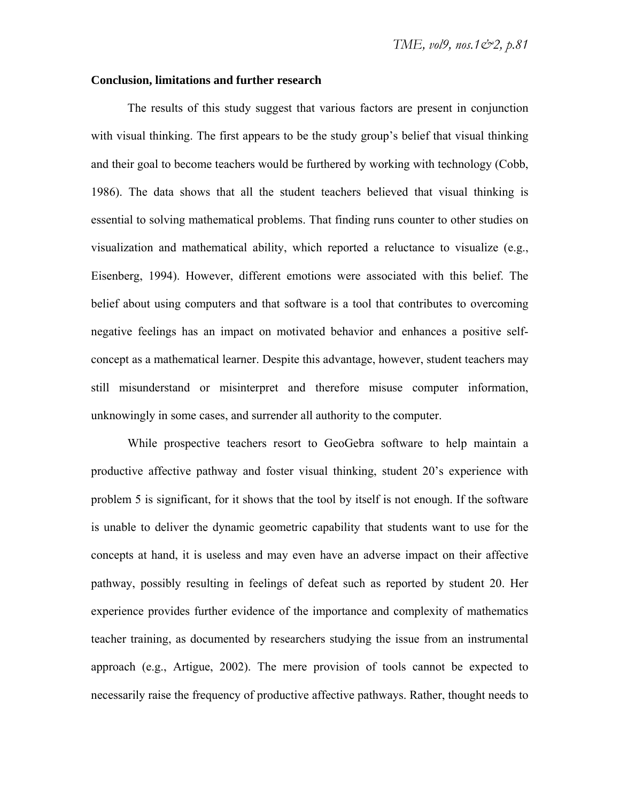#### **Conclusion, limitations and further research**

The results of this study suggest that various factors are present in conjunction with visual thinking. The first appears to be the study group's belief that visual thinking and their goal to become teachers would be furthered by working with technology (Cobb, 1986). The data shows that all the student teachers believed that visual thinking is essential to solving mathematical problems. That finding runs counter to other studies on visualization and mathematical ability, which reported a reluctance to visualize (e.g., Eisenberg, 1994). However, different emotions were associated with this belief. The belief about using computers and that software is a tool that contributes to overcoming negative feelings has an impact on motivated behavior and enhances a positive selfconcept as a mathematical learner. Despite this advantage, however, student teachers may still misunderstand or misinterpret and therefore misuse computer information, unknowingly in some cases, and surrender all authority to the computer.

While prospective teachers resort to GeoGebra software to help maintain a productive affective pathway and foster visual thinking, student 20's experience with problem 5 is significant, for it shows that the tool by itself is not enough. If the software is unable to deliver the dynamic geometric capability that students want to use for the concepts at hand, it is useless and may even have an adverse impact on their affective pathway, possibly resulting in feelings of defeat such as reported by student 20. Her experience provides further evidence of the importance and complexity of mathematics teacher training, as documented by researchers studying the issue from an instrumental approach (e.g., Artigue, 2002). The mere provision of tools cannot be expected to necessarily raise the frequency of productive affective pathways. Rather, thought needs to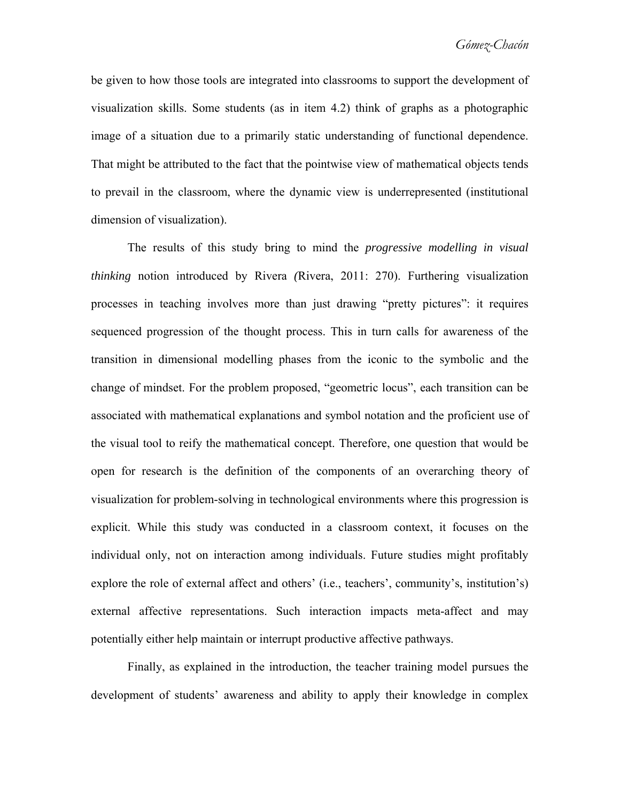be given to how those tools are integrated into classrooms to support the development of visualization skills. Some students (as in item 4.2) think of graphs as a photographic image of a situation due to a primarily static understanding of functional dependence. That might be attributed to the fact that the pointwise view of mathematical objects tends to prevail in the classroom, where the dynamic view is underrepresented (institutional dimension of visualization).

The results of this study bring to mind the *progressive modelling in visual thinking* notion introduced by Rivera *(*Rivera, 2011: 270). Furthering visualization processes in teaching involves more than just drawing "pretty pictures": it requires sequenced progression of the thought process. This in turn calls for awareness of the transition in dimensional modelling phases from the iconic to the symbolic and the change of mindset. For the problem proposed, "geometric locus", each transition can be associated with mathematical explanations and symbol notation and the proficient use of the visual tool to reify the mathematical concept. Therefore, one question that would be open for research is the definition of the components of an overarching theory of visualization for problem-solving in technological environments where this progression is explicit. While this study was conducted in a classroom context, it focuses on the individual only, not on interaction among individuals. Future studies might profitably explore the role of external affect and others' (i.e., teachers', community's, institution's) external affective representations. Such interaction impacts meta-affect and may potentially either help maintain or interrupt productive affective pathways.

Finally, as explained in the introduction, the teacher training model pursues the development of students' awareness and ability to apply their knowledge in complex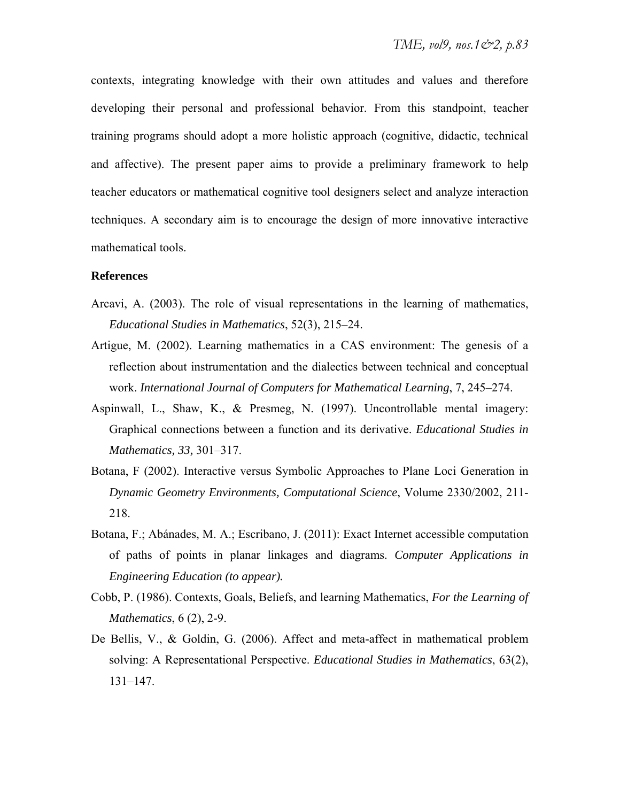contexts, integrating knowledge with their own attitudes and values and therefore developing their personal and professional behavior. From this standpoint, teacher training programs should adopt a more holistic approach (cognitive, didactic, technical and affective). The present paper aims to provide a preliminary framework to help teacher educators or mathematical cognitive tool designers select and analyze interaction techniques. A secondary aim is to encourage the design of more innovative interactive mathematical tools.

### **References**

- Arcavi, A. (2003). The role of visual representations in the learning of mathematics, *Educational Studies in Mathematics*, 52(3), 215–24.
- Artigue, M. (2002). Learning mathematics in a CAS environment: The genesis of a reflection about instrumentation and the dialectics between technical and conceptual work. *International Journal of Computers for Mathematical Learning*, 7, 245–274.
- Aspinwall, L., Shaw, K., & Presmeg, N. (1997). Uncontrollable mental imagery: Graphical connections between a function and its derivative. *Educational Studies in Mathematics, 33,* 301–317.
- Botana, F (2002). Interactive versus Symbolic Approaches to Plane Loci Generation in *Dynamic Geometry Environments, Computational Science*, Volume 2330/2002, 211- 218.
- Botana, F.; Abánades, M. A.; Escribano, J. (2011): Exact Internet accessible computation of paths of points in planar linkages and diagrams. *Computer Applications in Engineering Education (to appear).*
- Cobb, P. (1986). Contexts, Goals, Beliefs, and learning Mathematics, *For the Learning of Mathematics*, 6 (2), 2-9.
- De Bellis, V., & Goldin, G. (2006). Affect and meta-affect in mathematical problem solving: A Representational Perspective. *Educational Studies in Mathematics*, 63(2), 131–147.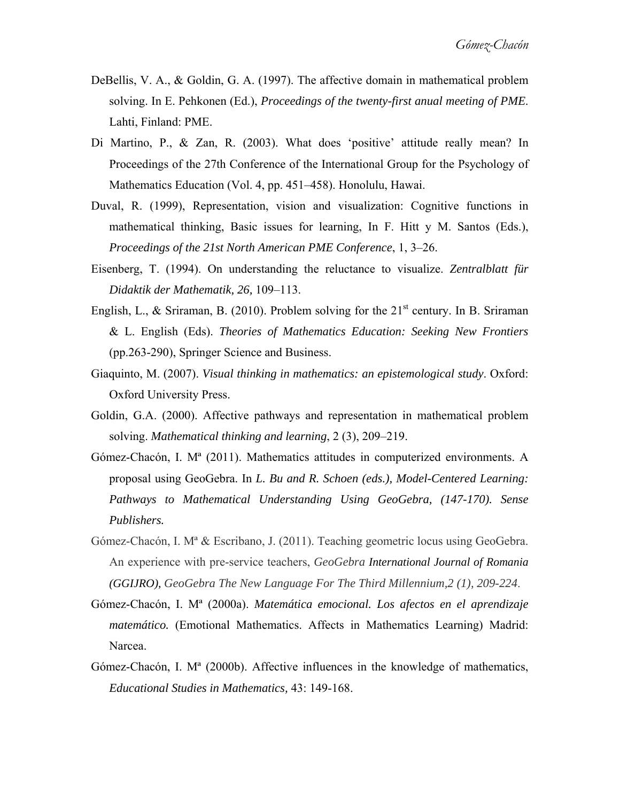- DeBellis, V. A., & Goldin, G. A. (1997). The affective domain in mathematical problem solving. In E. Pehkonen (Ed.), *Proceedings of the twenty-first anual meeting of PME*. Lahti, Finland: PME.
- Di Martino, P., & Zan, R. (2003). What does 'positive' attitude really mean? In Proceedings of the 27th Conference of the International Group for the Psychology of Mathematics Education (Vol. 4, pp. 451–458). Honolulu, Hawai.
- Duval, R. (1999), Representation, vision and visualization: Cognitive functions in mathematical thinking, Basic issues for learning, In F. Hitt y M. Santos (Eds.), *Proceedings of the 21st North American PME Conference*, 1, 3–26.
- Eisenberg, T. (1994). On understanding the reluctance to visualize. *Zentralblatt für Didaktik der Mathematik, 26,* 109–113.
- English, L., & Sriraman, B. (2010). Problem solving for the  $21<sup>st</sup>$  century. In B. Sriraman & L. English (Eds). *Theories of Mathematics Education: Seeking New Frontiers* (pp.263-290), Springer Science and Business.
- Giaquinto, M. (2007). *Visual thinking in mathematics: an epistemological study*. Oxford: Oxford University Press.
- Goldin, G.A. (2000). Affective pathways and representation in mathematical problem solving. *Mathematical thinking and learning*, 2 (3), 209–219.
- Gómez-Chacón, I. Mª (2011). Mathematics attitudes in computerized environments. A proposal using GeoGebra. In *L. Bu and R. Schoen (eds.), Model-Centered Learning: Pathways to Mathematical Understanding Using GeoGebra, (147-170). Sense Publishers.*
- Gómez-Chacón, I. Mª & Escribano, J. (2011). Teaching geometric locus using GeoGebra. An experience with pre-service teachers, *GeoGebra International Journal of Romania (GGIJRO), GeoGebra The New Language For The Third Millennium,2 (1), 209-224*.
- Gómez-Chacón, I. Mª (2000a). *Matemática emocional. Los afectos en el aprendizaje matemático.* (Emotional Mathematics. Affects in Mathematics Learning) Madrid: Narcea.
- Gómez-Chacón, I. Mª (2000b). Affective influences in the knowledge of mathematics, *Educational Studies in Mathematics,* 43: 149-168.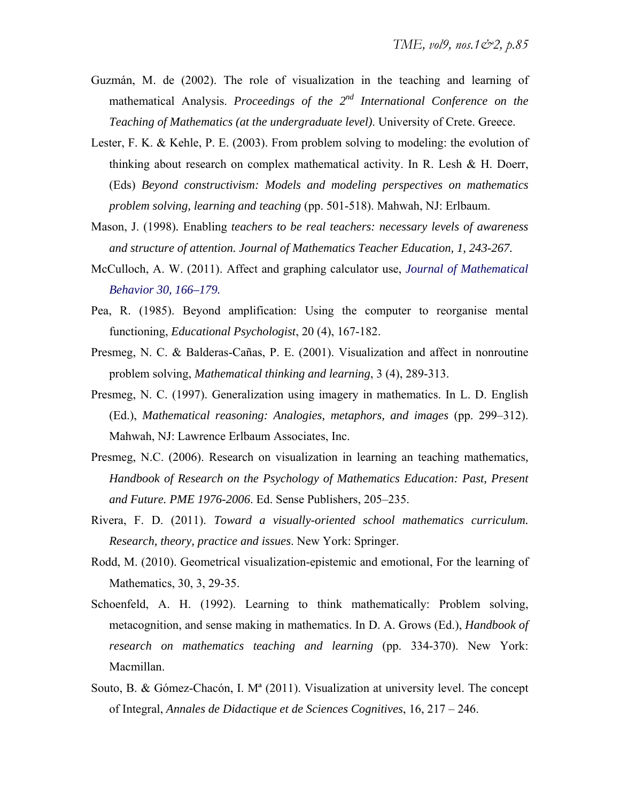- Guzmán, M. de (2002). The role of visualization in the teaching and learning of mathematical Analysis. *Proceedings of the 2nd International Conference on the Teaching of Mathematics (at the undergraduate level)*. University of Crete. Greece.
- Lester, F. K. & Kehle, P. E. (2003). From problem solving to modeling: the evolution of thinking about research on complex mathematical activity. In R. Lesh & H. Doerr, (Eds) *Beyond constructivism: Models and modeling perspectives on mathematics problem solving, learning and teaching* (pp. 501-518). Mahwah, NJ: Erlbaum.
- Mason, J. (1998)*.* Enabling *teachers to be real teachers: necessary levels of awareness and structure of attention. Journal of Mathematics Teacher Education, 1, 243-267.*
- McCulloch, A. W. (2011). Affect and graphing calculator use, *Journal of Mathematical Behavior 30, 166–179.*
- Pea, R. (1985). Beyond amplification: Using the computer to reorganise mental functioning, *Educational Psychologist*, 20 (4), 167-182.
- Presmeg, N. C. & Balderas-Cañas, P. E. (2001). Visualization and affect in nonroutine problem solving, *Mathematical thinking and learning*, 3 (4), 289-313.
- Presmeg, N. C. (1997). Generalization using imagery in mathematics. In L. D. English (Ed.), *Mathematical reasoning: Analogies, metaphors, and images* (pp. 299–312). Mahwah, NJ: Lawrence Erlbaum Associates, Inc.
- Presmeg, N.C. (2006). Research on visualization in learning an teaching mathematics*, Handbook of Research on the Psychology of Mathematics Education: Past, Present and Future. PME 1976-2006*. Ed. Sense Publishers, 205–235.
- Rivera, F. D. (2011). *Toward a visually-oriented school mathematics curriculum. Research, theory, practice and issues*. New York: Springer.
- Rodd, M. (2010). Geometrical visualization-epistemic and emotional, For the learning of Mathematics, 30, 3, 29-35.
- Schoenfeld, A. H. (1992). Learning to think mathematically: Problem solving, metacognition, and sense making in mathematics. In D. A. Grows (Ed.), *Handbook of research on mathematics teaching and learning* (pp. 334-370). New York: Macmillan.
- Souto, B. & Gómez-Chacón, I. Mª (2011). Visualization at university level. The concept of Integral, *Annales de Didactique et de Sciences Cognitives*, 16, 217 – 246.